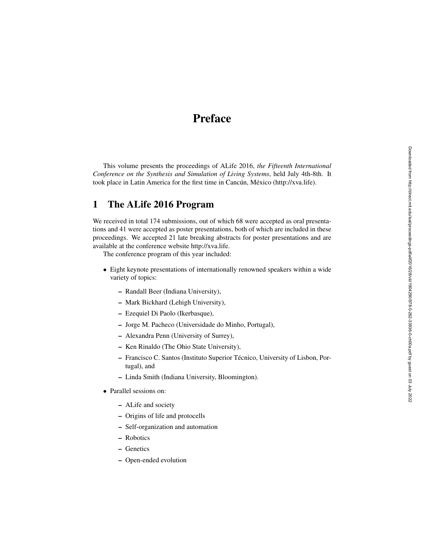# Preface

This volume presents the proceedings of ALife 2016, *the Fifteenth International Conference on the Synthesis and Simulation of Living Systems*, held July 4th-8th. It took place in Latin America for the first time in Cancún, México (http://xva.life).

## 1 The ALife 2016 Program

We received in total 174 submissions, out of which 68 were accepted as oral presentations and 41 were accepted as poster presentations, both of which are included in these proceedings. We accepted 21 late breaking abstracts for poster presentations and are available at the conference website http://xva.life.

The conference program of this year included:

- Eight keynote presentations of internationally renowned speakers within a wide variety of topics:
	- Randall Beer (Indiana University),
	- Mark Bickhard (Lehigh University),
	- Ezequiel Di Paolo (Ikerbasque),
	- Jorge M. Pacheco (Universidade do Minho, Portugal),
	- Alexandra Penn (University of Surrey),
	- Ken Rinaldo (The Ohio State University),
	- Francisco C. Santos (Instituto Superior Técnico, University of Lisbon, Portugal), and
	- Linda Smith (Indiana University, Bloomington).
- Parallel sessions on:
	- ALife and society
	- Origins of life and protocells
	- Self-organization and automation
	- Robotics
	- Genetics
	- Open-ended evolution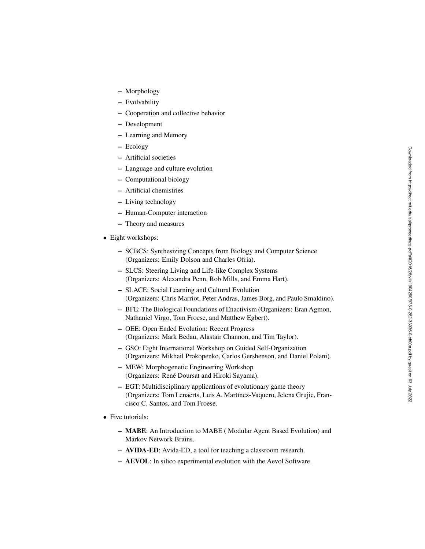- Morphology
- Evolvability
- Cooperation and collective behavior
- Development
- Learning and Memory
- Ecology
- Artificial societies
- Language and culture evolution
- Computational biology
- Artificial chemistries
- Living technology
- Human-Computer interaction
- Theory and measures
- Eight workshops:
	- SCBCS: Synthesizing Concepts from Biology and Computer Science (Organizers: Emily Dolson and Charles Ofria).
	- SLCS: Steering Living and Life-like Complex Systems (Organizers: Alexandra Penn, Rob Mills, and Emma Hart).
	- SLACE: Social Learning and Cultural Evolution (Organizers: Chris Marriot, Peter Andras, James Borg, and Paulo Smaldino).
	- BFE: The Biological Foundations of Enactivism (Organizers: Eran Agmon, Nathaniel Virgo, Tom Froese, and Matthew Egbert).
	- OEE: Open Ended Evolution: Recent Progress (Organizers: Mark Bedau, Alastair Channon, and Tim Taylor).
	- GSO: Eight International Workshop on Guided Self-Organization (Organizers: Mikhail Prokopenko, Carlos Gershenson, and Daniel Polani).
	- MEW: Morphogenetic Engineering Workshop (Organizers: René Doursat and Hiroki Sayama).
	- EGT: Multidisciplinary applications of evolutionary game theory (Organizers: Tom Lenaerts, Luis A. Martínez-Vaquero, Jelena Grujic, Francisco C. Santos, and Tom Froese.
- Five tutorials:
	- MABE: An Introduction to MABE ( Modular Agent Based Evolution) and Markov Network Brains.
	- AVIDA-ED: Avida-ED, a tool for teaching a classroom research.
	- AEVOL: In silico experimental evolution with the Aevol Software.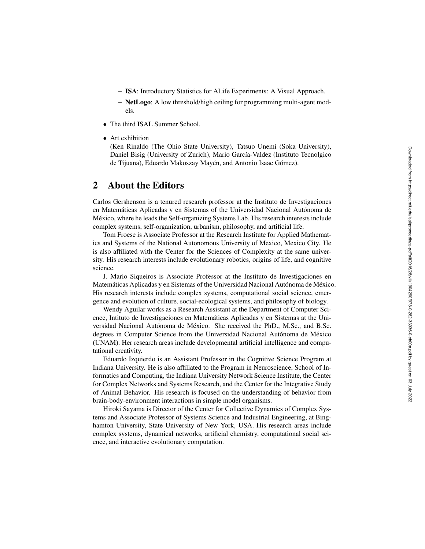- ISA: Introductory Statistics for ALife Experiments: A Visual Approach.
- NetLogo: A low threshold/high ceiling for programming multi-agent models.
- The third ISAL Summer School.
- Art exhibition

(Ken Rinaldo (The Ohio State University), Tatsuo Unemi (Soka University), Daniel Bisig (University of Zurich), Mario García-Valdez (Instituto Tecnolgico de Tijuana), Eduardo Makoszay Mayén, and Antonio Isaac Gómez).

#### 2 About the Editors

Carlos Gershenson is a tenured research professor at the Instituto de Investigaciones en Matemáticas Aplicadas y en Sistemas of the Universidad Nacional Autónoma de Mexico, where he leads the Self-organizing Systems Lab. His research interests include ´ complex systems, self-organization, urbanism, philosophy, and artificial life.

Tom Froese is Associate Professor at the Research Institute for Applied Mathematics and Systems of the National Autonomous University of Mexico, Mexico City. He is also affiliated with the Center for the Sciences of Complexity at the same university. His research interests include evolutionary robotics, origins of life, and cognitive science.

J. Mario Siqueiros is Associate Professor at the Instituto de Investigaciones en Matemáticas Aplicadas y en Sistemas of the Universidad Nacional Autónoma de México. His research interests include complex systems, computational social science, emergence and evolution of culture, social-ecological systems, and philosophy of biology.

Wendy Aguilar works as a Research Assistant at the Department of Computer Science, Intituto de Investigaciones en Matematicas Aplicadas y en Sistemas at the Uni- ´ versidad Nacional Autónoma de México. She received the PhD., M.Sc., and B.Sc. degrees in Computer Science from the Universidad Nacional Autónoma de México (UNAM). Her research areas include developmental artificial intelligence and computational creativity.

Eduardo Izquierdo is an Assistant Professor in the Cognitive Science Program at Indiana University. He is also affiliated to the Program in Neuroscience, School of Informatics and Computing, the Indiana University Network Science Institute, the Center for Complex Networks and Systems Research, and the Center for the Integrative Study of Animal Behavior. His research is focused on the understanding of behavior from brain-body-environment interactions in simple model organisms.

Hiroki Sayama is Director of the Center for Collective Dynamics of Complex Systems and Associate Professor of Systems Science and Industrial Engineering, at Binghamton University, State University of New York, USA. His research areas include complex systems, dynamical networks, artificial chemistry, computational social science, and interactive evolutionary computation.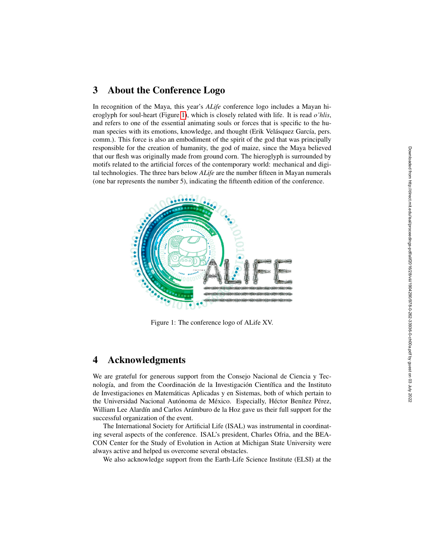### 3 About the Conference Logo

In recognition of the Maya, this year's *ALife* conference logo includes a Mayan hieroglyph for soul-heart (Figure [1\)](#page-3-0), which is closely related with life. It is read *o'hlis*, and refers to one of the essential animating souls or forces that is specific to the human species with its emotions, knowledge, and thought (Erik Velásquez García, pers. comm.). This force is also an embodiment of the spirit of the god that was principally responsible for the creation of humanity, the god of maize, since the Maya believed that our flesh was originally made from ground corn. The hieroglyph is surrounded by motifs related to the artificial forces of the contemporary world: mechanical and digital technologies. The three bars below *ALife* are the number fifteen in Mayan numerals (one bar represents the number 5), indicating the fifteenth edition of the conference.



<span id="page-3-0"></span>Figure 1: The conference logo of ALife XV.

#### 4 Acknowledgments

We are grateful for generous support from the Consejo Nacional de Ciencia y Tecnología, and from the Coordinación de la Investigación Científica and the Instituto de Investigaciones en Matematicas Aplicadas y en Sistemas, both of which pertain to ´ the Universidad Nacional Autónoma de México. Especially, Héctor Benítez Pérez, William Lee Alardín and Carlos Arámburo de la Hoz gave us their full support for the successful organization of the event.

The International Society for Artificial Life (ISAL) was instrumental in coordinating several aspects of the conference. ISAL's president, Charles Ofria, and the BEA-CON Center for the Study of Evolution in Action at Michigan State University were always active and helped us overcome several obstacles.

We also acknowledge support from the Earth-Life Science Institute (ELSI) at the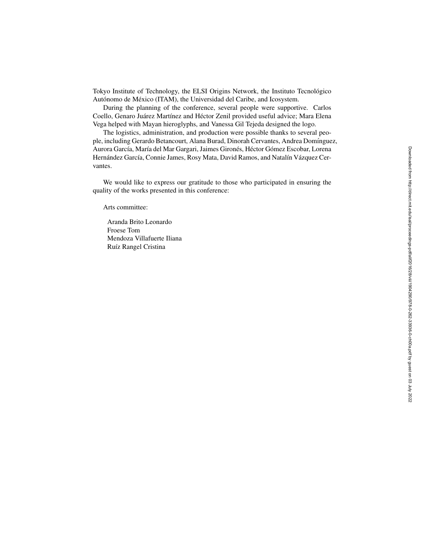Tokyo Institute of Technology, the ELSI Origins Network, the Instituto Tecnológico Autónomo de México (ITAM), the Universidad del Caribe, and Icosystem.

During the planning of the conference, several people were supportive. Carlos Coello, Genaro Juárez Martínez and Héctor Zenil provided useful advice; Mara Elena Vega helped with Mayan hieroglyphs, and Vanessa Gil Tejeda designed the logo.

The logistics, administration, and production were possible thanks to several people, including Gerardo Betancourt, Alana Burad, Dinorah Cervantes, Andrea Domínguez, Aurora García, María del Mar Gargari, Jaimes Gironés, Héctor Gómez Escobar, Lorena Hernández García, Connie James, Rosy Mata, David Ramos, and Natalín Vázquez Cervantes.

We would like to express our gratitude to those who participated in ensuring the quality of the works presented in this conference:

Arts committee:

Aranda Brito Leonardo Froese Tom Mendoza Villafuerte Iliana Ruíz Rangel Cristina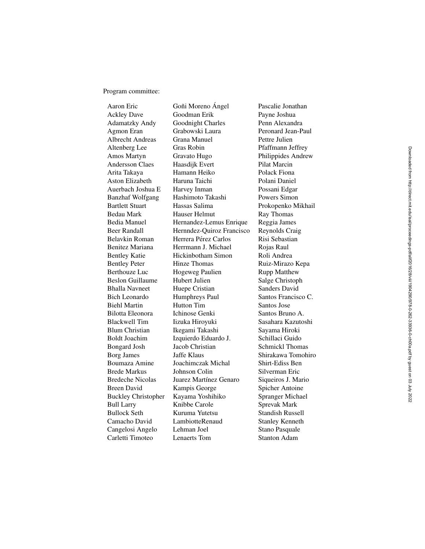Program committee:

Aaron Eric **Goni Moreno Ángel** Pascalie Jonathan Ackley Dave Goodman Erik Payne Joshua Adamatzky Andy Goodnight Charles Penn Alexandra Agmon Eran Grabowski Laura Peronard Jean-Paul Albrecht Andreas Grana Manuel Pettre Julien Altenberg Lee Gras Robin Pfaffmann Jeffrey Amos Martyn Gravato Hugo Philippides Andrew Andersson Claes Haasdijk Evert Pilat Marcin Arita Takaya Hamann Heiko Polack Fiona Aston Elizabeth Haruna Taichi Polani Daniel Auerbach Joshua E Harvey Inman Possani Edgar Banzhaf Wolfgang Hashimoto Takashi Powers Simon Bartlett Stuart **Hassas Salima** Prokopenko Mikhail Bedau Mark Hauser Helmut Ray Thomas Bedia Manuel Hernandez-Lemus Enrique Reggia James Beer Randall Hernndez-Quiroz Francisco Reynolds Craig Belavkin Roman *Herrera Pérez Carlos* Risi Sebastian Benitez Mariana Herrmann J. Michael Rojas Raul Bentley Katie Hickinbotham Simon Roli Andrea Bentley Peter Hinze Thomas Ruiz-Mirazo Kepa Berthouze Luc Hogeweg Paulien Rupp Matthew Beslon Guillaume Hubert Julien Salge Christoph Bhalla Navneet Huepe Cristian Sanders David Bich Leonardo Humphreys Paul Santos Francisco C. Biehl Martin Hutton Tim Santos Jose Bilotta Eleonora Ichinose Genki Santos Bruno A. Blackwell Tim Iizuka Hiroyuki Sasahara Kazutoshi Blum Christian Ikegami Takashi Sayama Hiroki Boldt Joachim Izquierdo Eduardo J. Schillaci Guido Bongard Josh Jacob Christian Schmickl Thomas Borg James Jaffe Klaus Shirakawa Tomohiro Boumaza Amine Joachimczak Michal Shirt-Ediss Ben Brede Markus Johnson Colin Silverman Eric Bredeche Nicolas Juarez Martínez Genaro Breen David Kampis George Spicher Antoine Buckley Christopher Kayama Yoshihiko Spranger Michael Bull Larry Knibbe Carole Sprevak Mark Bullock Seth Kuruma Yutetsu Standish Russell Camacho David LambiotteRenaud Stanley Kenneth Cangelosi Angelo Lehman Joel Stano Pasquale Carletti Timoteo Lenaerts Tom Stanton Adam

Siqueiros J. Mario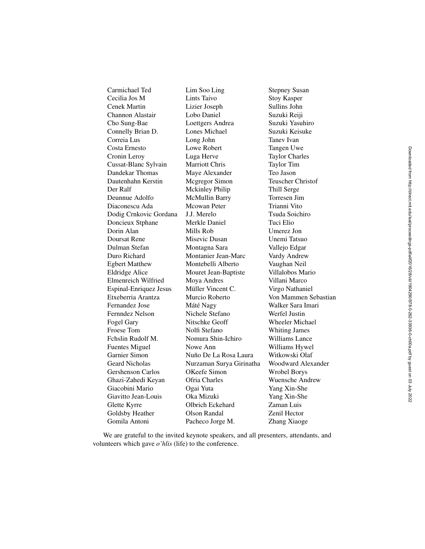Cecilia Jos M Lints Taivo Stoy Kasper Cenek Martin Lizier Joseph Sullins John Channon Alastair Lobo Daniel Suzuki Reiji Cho Sung-Bae Loettgers Andrea Suzuki Yasuhiro Connelly Brian D. Lones Michael Suzuki Keisuke Correia Lus Long John Tanev Ivan Costa Ernesto Lowe Robert Tangen Uwe Cronin Leroy Luga Herve Taylor Charles Cussat-Blanc Sylvain Marriott Chris Taylor Tim Dandekar Thomas Maye Alexander Teo Jason Dautenhahn Kerstin Mcgregor Simon Teuscher Christof Der Ralf Mckinley Philip Thill Serge Deunnue Adolfo McMullin Barry Torresen Jim Diaconescu Ada Mcowan Peter Trianni Vito Dodig Crnkovic Gordana J.J. Merelo Tsuda Soichiro Doncieux Stphane Merkle Daniel Tuci Elio Dorin Alan Mills Rob Umerez Jon Doursat Rene Misevic Dusan Unemi Tatsuo Dulman Stefan Montagna Sara Vallejo Edgar Duro Richard Montanier Jean-Marc Vardy Andrew Egbert Matthew Montebelli Alberto Vaughan Neil Eldridge Alice Mouret Jean-Baptiste Villalobos Mario Elmenreich Wilfried Moya Andres Villani Marco Espinal-Enriquez Jesus Müller Vincent C. Virgo Nathaniel Etxeberria Arantza Murcio Roberto Von Mammen Sebastian Fernandez Jose Máté Nagy Walker Sara Imari Fernndez Nelson Nichele Stefano Werfel Justin Fogel Gary Nitschke Geoff Wheeler Michael Froese Tom Nolfi Stefano Whiting James Fchslin Rudolf M. Nomura Shin-Ichiro Williams Lance Fuentes Miguel Nowe Ann Williams Hywel Garnier Simon Nuño De La Rosa Laura Witkowski Olaf Geard Nicholas Nurzaman Surya Girinatha Woodward Alexander Gershenson Carlos OKeefe Simon Wrobel Borys Ghazi-Zahedi Keyan Ofria Charles Wuensche Andrew Giacobini Mario Ogai Yuta Yang Xin-She Giavitto Jean-Louis Oka Mizuki Yang Xin-She Glette Kyrre Olbrich Eckehard Zaman Luis Goldsby Heather Olson Randal Zenil Hector Gomila Antoni Pacheco Jorge M. Zhang Xiaoge

Carmichael Ted Lim Soo Ling Stepney Susan

We are grateful to the invited keynote speakers, and all presenters, attendants, and volunteers which gave *o'hlis* (life) to the conference.